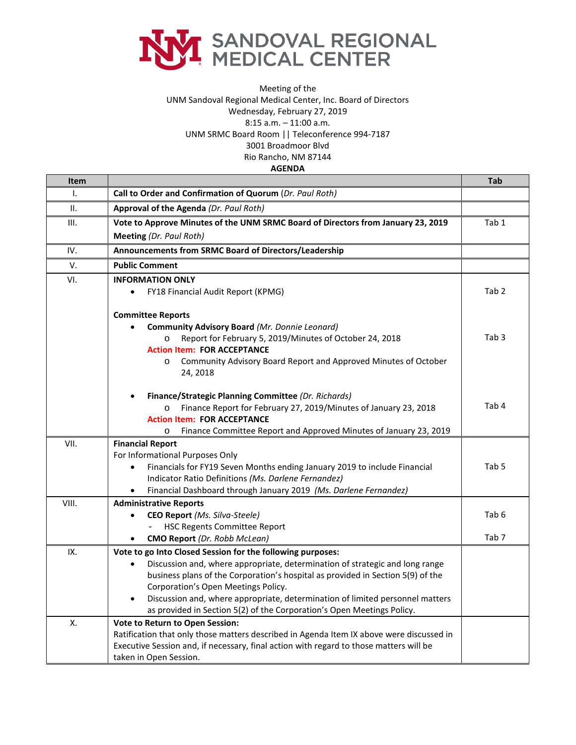

## Meeting of the UNM Sandoval Regional Medical Center, Inc. Board of Directors Wednesday, February 27, 2019 8:15 a.m. – 11:00 a.m. UNM SRMC Board Room || Teleconference 994-7187 3001 Broadmoor Blvd Rio Rancho, NM 87144

**AGENDA**

| <b>Item</b>  |                                                                                            | Tab              |
|--------------|--------------------------------------------------------------------------------------------|------------------|
| $\mathsf{L}$ | Call to Order and Confirmation of Quorum (Dr. Paul Roth)                                   |                  |
| ΙΙ.          | Approval of the Agenda (Dr. Paul Roth)                                                     |                  |
| III.         | Vote to Approve Minutes of the UNM SRMC Board of Directors from January 23, 2019           | Tab 1            |
|              | <b>Meeting (Dr. Paul Roth)</b>                                                             |                  |
| IV.          | Announcements from SRMC Board of Directors/Leadership                                      |                  |
| V.           | <b>Public Comment</b>                                                                      |                  |
| VI.          | <b>INFORMATION ONLY</b>                                                                    |                  |
|              | FY18 Financial Audit Report (KPMG)<br>$\bullet$                                            | Tab <sub>2</sub> |
|              | <b>Committee Reports</b>                                                                   |                  |
|              | Community Advisory Board (Mr. Donnie Leonard)                                              |                  |
|              | Report for February 5, 2019/Minutes of October 24, 2018                                    | Tab <sub>3</sub> |
|              | <b>Action Item: FOR ACCEPTANCE</b>                                                         |                  |
|              | Community Advisory Board Report and Approved Minutes of October<br>$\circ$<br>24, 2018     |                  |
|              | Finance/Strategic Planning Committee (Dr. Richards)                                        |                  |
|              | Finance Report for February 27, 2019/Minutes of January 23, 2018<br>$\circ$                | Tab <sub>4</sub> |
|              | <b>Action Item: FOR ACCEPTANCE</b>                                                         |                  |
|              | Finance Committee Report and Approved Minutes of January 23, 2019<br>$\circ$               |                  |
| VII.         | <b>Financial Report</b>                                                                    |                  |
|              | For Informational Purposes Only                                                            |                  |
|              | Financials for FY19 Seven Months ending January 2019 to include Financial<br>$\bullet$     | Tab 5            |
|              | Indicator Ratio Definitions (Ms. Darlene Fernandez)                                        |                  |
|              | Financial Dashboard through January 2019 (Ms. Darlene Fernandez)<br>$\bullet$              |                  |
| VIII.        | <b>Administrative Reports</b>                                                              |                  |
|              | CEO Report (Ms. Silva-Steele)<br>$\bullet$<br><b>HSC Regents Committee Report</b>          | Tab 6            |
|              | <b>CMO Report</b> (Dr. Robb McLean)                                                        | Tab <sub>7</sub> |
| IX.          | Vote to go Into Closed Session for the following purposes:                                 |                  |
|              | Discussion and, where appropriate, determination of strategic and long range<br>$\bullet$  |                  |
|              | business plans of the Corporation's hospital as provided in Section 5(9) of the            |                  |
|              | Corporation's Open Meetings Policy.                                                        |                  |
|              | Discussion and, where appropriate, determination of limited personnel matters<br>$\bullet$ |                  |
|              | as provided in Section 5(2) of the Corporation's Open Meetings Policy.                     |                  |
| Х.           | Vote to Return to Open Session:                                                            |                  |
|              | Ratification that only those matters described in Agenda Item IX above were discussed in   |                  |
|              | Executive Session and, if necessary, final action with regard to those matters will be     |                  |
|              | taken in Open Session.                                                                     |                  |